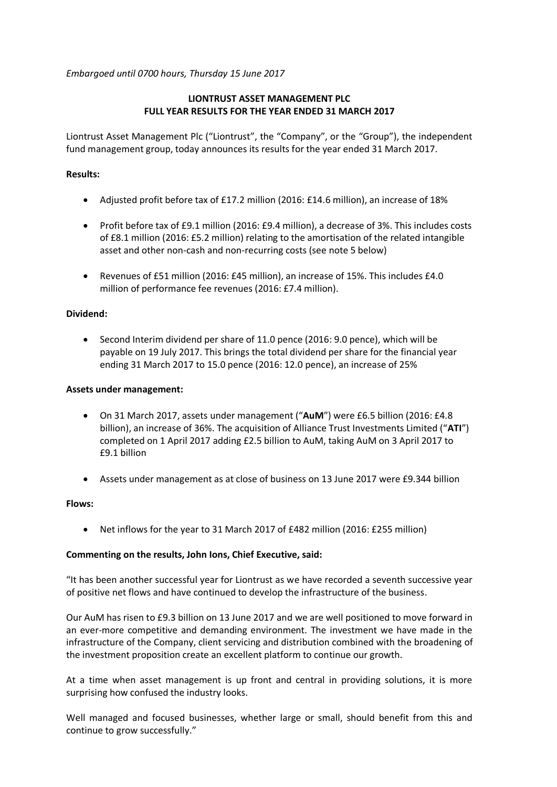*Embargoed until 0700 hours, Thursday 15 June 2017*

# **LIONTRUST ASSET MANAGEMENT PLC FULL YEAR RESULTS FOR THE YEAR ENDED 31 MARCH 2017**

Liontrust Asset Management Plc ("Liontrust", the "Company", or the "Group"), the independent fund management group, today announces its results for the year ended 31 March 2017.

# **Results:**

- Adjusted profit before tax of £17.2 million (2016: £14.6 million), an increase of 18%
- Profit before tax of £9.1 million (2016: £9.4 million), a decrease of 3%. This includes costs of £8.1 million (2016: £5.2 million) relating to the amortisation of the related intangible asset and other non-cash and non-recurring costs (see note 5 below)
- Revenues of £51 million (2016: £45 million), an increase of 15%. This includes £4.0 million of performance fee revenues (2016: £7.4 million).

# **Dividend:**

 Second Interim dividend per share of 11.0 pence (2016: 9.0 pence), which will be payable on 19 July 2017. This brings the total dividend per share for the financial year ending 31 March 2017 to 15.0 pence (2016: 12.0 pence), an increase of 25%

# **Assets under management:**

- On 31 March 2017, assets under management ("**AuM**") were £6.5 billion (2016: £4.8 billion), an increase of 36%. The acquisition of Alliance Trust Investments Limited ("**ATI**") completed on 1 April 2017 adding £2.5 billion to AuM, taking AuM on 3 April 2017 to £9.1 billion
- Assets under management as at close of business on 13 June 2017 were £9.344 billion

# **Flows:**

Net inflows for the year to 31 March 2017 of £482 million (2016: £255 million)

# **Commenting on the results, John Ions, Chief Executive, said:**

"It has been another successful year for Liontrust as we have recorded a seventh successive year of positive net flows and have continued to develop the infrastructure of the business.

Our AuM has risen to £9.3 billion on 13 June 2017 and we are well positioned to move forward in an ever-more competitive and demanding environment. The investment we have made in the infrastructure of the Company, client servicing and distribution combined with the broadening of the investment proposition create an excellent platform to continue our growth.

At a time when asset management is up front and central in providing solutions, it is more surprising how confused the industry looks.

Well managed and focused businesses, whether large or small, should benefit from this and continue to grow successfully."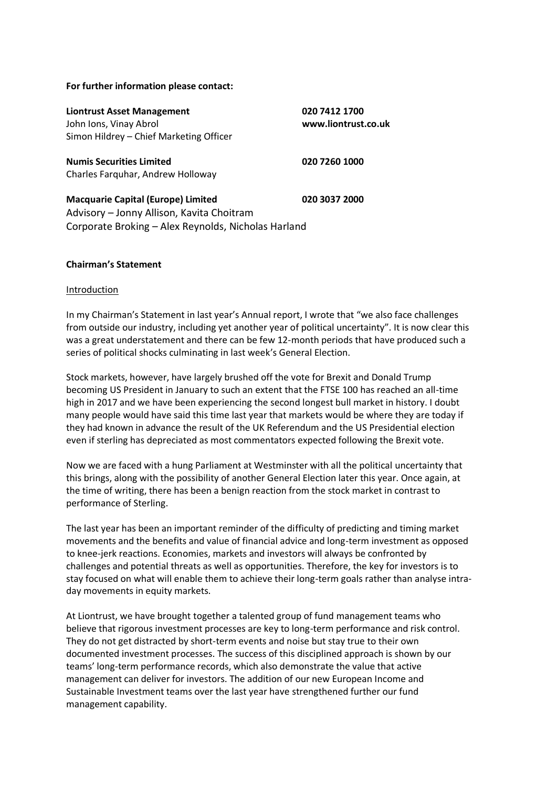### **For further information please contact:**

| <b>Liontrust Asset Management</b><br>John Ions, Vinay Abrol                                                                                   | 020 7412 1700<br>www.liontrust.co.uk |
|-----------------------------------------------------------------------------------------------------------------------------------------------|--------------------------------------|
| Simon Hildrey - Chief Marketing Officer                                                                                                       |                                      |
| <b>Numis Securities Limited</b><br>Charles Farguhar, Andrew Holloway                                                                          | 020 7260 1000                        |
| <b>Macquarie Capital (Europe) Limited</b><br>Advisory - Jonny Allison, Kavita Choitram<br>Corporate Broking - Alex Reynolds, Nicholas Harland | 020 3037 2000                        |

### **Chairman's Statement**

### Introduction

In my Chairman's Statement in last year's Annual report, I wrote that "we also face challenges from outside our industry, including yet another year of political uncertainty". It is now clear this was a great understatement and there can be few 12-month periods that have produced such a series of political shocks culminating in last week's General Election.

Stock markets, however, have largely brushed off the vote for Brexit and Donald Trump becoming US President in January to such an extent that the FTSE 100 has reached an all-time high in 2017 and we have been experiencing the second longest bull market in history. I doubt many people would have said this time last year that markets would be where they are today if they had known in advance the result of the UK Referendum and the US Presidential election even if sterling has depreciated as most commentators expected following the Brexit vote.

Now we are faced with a hung Parliament at Westminster with all the political uncertainty that this brings, along with the possibility of another General Election later this year. Once again, at the time of writing, there has been a benign reaction from the stock market in contrast to performance of Sterling.

The last year has been an important reminder of the difficulty of predicting and timing market movements and the benefits and value of financial advice and long-term investment as opposed to knee-jerk reactions. Economies, markets and investors will always be confronted by challenges and potential threats as well as opportunities. Therefore, the key for investors is to stay focused on what will enable them to achieve their long-term goals rather than analyse intraday movements in equity markets.

At Liontrust, we have brought together a talented group of fund management teams who believe that rigorous investment processes are key to long-term performance and risk control. They do not get distracted by short-term events and noise but stay true to their own documented investment processes. The success of this disciplined approach is shown by our teams' long-term performance records, which also demonstrate the value that active management can deliver for investors. The addition of our new European Income and Sustainable Investment teams over the last year have strengthened further our fund management capability.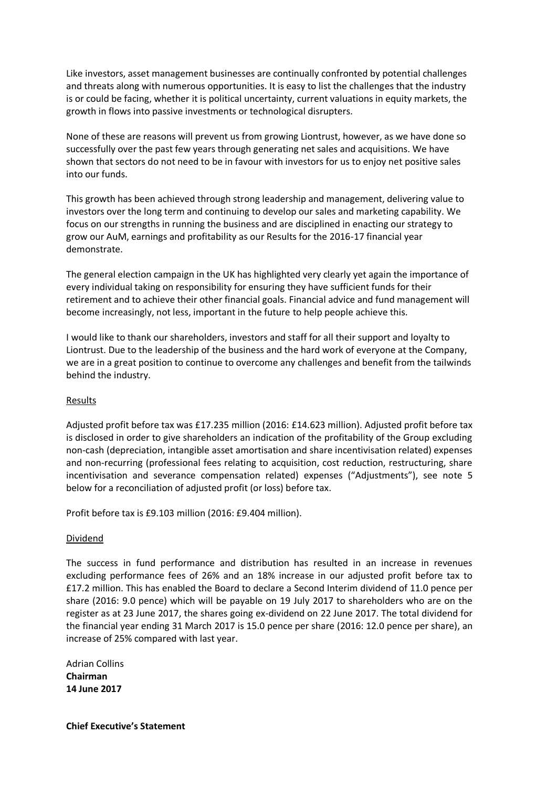Like investors, asset management businesses are continually confronted by potential challenges and threats along with numerous opportunities. It is easy to list the challenges that the industry is or could be facing, whether it is political uncertainty, current valuations in equity markets, the growth in flows into passive investments or technological disrupters.

None of these are reasons will prevent us from growing Liontrust, however, as we have done so successfully over the past few years through generating net sales and acquisitions. We have shown that sectors do not need to be in favour with investors for us to enjoy net positive sales into our funds.

This growth has been achieved through strong leadership and management, delivering value to investors over the long term and continuing to develop our sales and marketing capability. We focus on our strengths in running the business and are disciplined in enacting our strategy to grow our AuM, earnings and profitability as our Results for the 2016-17 financial year demonstrate.

The general election campaign in the UK has highlighted very clearly yet again the importance of every individual taking on responsibility for ensuring they have sufficient funds for their retirement and to achieve their other financial goals. Financial advice and fund management will become increasingly, not less, important in the future to help people achieve this.

I would like to thank our shareholders, investors and staff for all their support and loyalty to Liontrust. Due to the leadership of the business and the hard work of everyone at the Company, we are in a great position to continue to overcome any challenges and benefit from the tailwinds behind the industry.

# **Results**

Adjusted profit before tax was £17.235 million (2016: £14.623 million). Adjusted profit before tax is disclosed in order to give shareholders an indication of the profitability of the Group excluding non-cash (depreciation, intangible asset amortisation and share incentivisation related) expenses and non-recurring (professional fees relating to acquisition, cost reduction, restructuring, share incentivisation and severance compensation related) expenses ("Adjustments"), see note 5 below for a reconciliation of adjusted profit (or loss) before tax.

Profit before tax is £9.103 million (2016: £9.404 million).

# Dividend

The success in fund performance and distribution has resulted in an increase in revenues excluding performance fees of 26% and an 18% increase in our adjusted profit before tax to £17.2 million. This has enabled the Board to declare a Second Interim dividend of 11.0 pence per share (2016: 9.0 pence) which will be payable on 19 July 2017 to shareholders who are on the register as at 23 June 2017, the shares going ex-dividend on 22 June 2017. The total dividend for the financial year ending 31 March 2017 is 15.0 pence per share (2016: 12.0 pence per share), an increase of 25% compared with last year.

Adrian Collins **Chairman 14 June 2017**

**Chief Executive's Statement**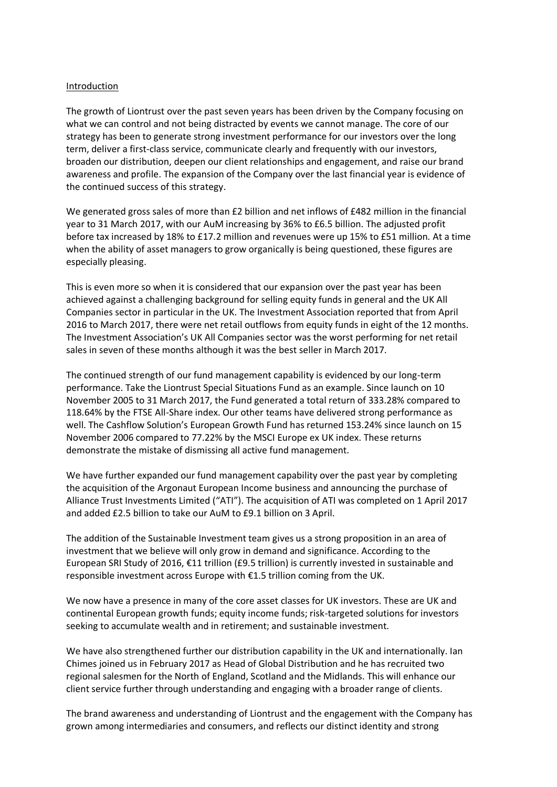### Introduction

The growth of Liontrust over the past seven years has been driven by the Company focusing on what we can control and not being distracted by events we cannot manage. The core of our strategy has been to generate strong investment performance for our investors over the long term, deliver a first-class service, communicate clearly and frequently with our investors, broaden our distribution, deepen our client relationships and engagement, and raise our brand awareness and profile. The expansion of the Company over the last financial year is evidence of the continued success of this strategy.

We generated gross sales of more than £2 billion and net inflows of £482 million in the financial year to 31 March 2017, with our AuM increasing by 36% to £6.5 billion. The adjusted profit before tax increased by 18% to £17.2 million and revenues were up 15% to £51 million. At a time when the ability of asset managers to grow organically is being questioned, these figures are especially pleasing.

This is even more so when it is considered that our expansion over the past year has been achieved against a challenging background for selling equity funds in general and the UK All Companies sector in particular in the UK. The Investment Association reported that from April 2016 to March 2017, there were net retail outflows from equity funds in eight of the 12 months. The Investment Association's UK All Companies sector was the worst performing for net retail sales in seven of these months although it was the best seller in March 2017.

The continued strength of our fund management capability is evidenced by our long-term performance. Take the Liontrust Special Situations Fund as an example. Since launch on 10 November 2005 to 31 March 2017, the Fund generated a total return of 333.28% compared to 118.64% by the FTSE All-Share index. Our other teams have delivered strong performance as well. The Cashflow Solution's European Growth Fund has returned 153.24% since launch on 15 November 2006 compared to 77.22% by the MSCI Europe ex UK index. These returns demonstrate the mistake of dismissing all active fund management.

We have further expanded our fund management capability over the past year by completing the acquisition of the Argonaut European Income business and announcing the purchase of Alliance Trust Investments Limited ("ATI"). The acquisition of ATI was completed on 1 April 2017 and added £2.5 billion to take our AuM to £9.1 billion on 3 April.

The addition of the Sustainable Investment team gives us a strong proposition in an area of investment that we believe will only grow in demand and significance. According to the European SRI Study of 2016, €11 trillion (£9.5 trillion) is currently invested in sustainable and responsible investment across Europe with €1.5 trillion coming from the UK.

We now have a presence in many of the core asset classes for UK investors. These are UK and continental European growth funds; equity income funds; risk-targeted solutions for investors seeking to accumulate wealth and in retirement; and sustainable investment.

We have also strengthened further our distribution capability in the UK and internationally. Ian Chimes joined us in February 2017 as Head of Global Distribution and he has recruited two regional salesmen for the North of England, Scotland and the Midlands. This will enhance our client service further through understanding and engaging with a broader range of clients.

The brand awareness and understanding of Liontrust and the engagement with the Company has grown among intermediaries and consumers, and reflects our distinct identity and strong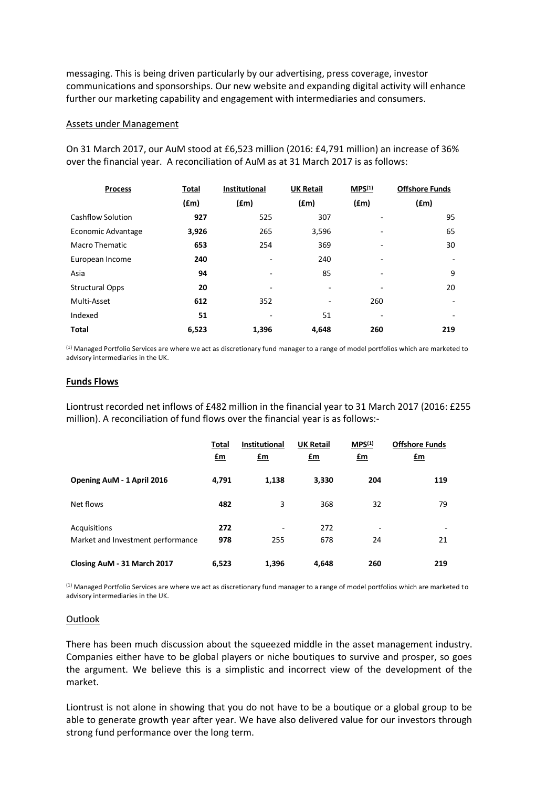messaging. This is being driven particularly by our advertising, press coverage, investor communications and sponsorships. Our new website and expanding digital activity will enhance further our marketing capability and engagement with intermediaries and consumers.

#### Assets under Management

| <b>Process</b>         | Total<br>$(\text{fm})$ | Institutional<br>$(\text{fm})$ | <b>UK Retail</b><br>$(\text{fm})$ | MPS <sup>(1)</sup><br>(fm) | <b>Offshore Funds</b><br><u>(£m)</u> |
|------------------------|------------------------|--------------------------------|-----------------------------------|----------------------------|--------------------------------------|
| Cashflow Solution      | 927                    | 525                            | 307                               |                            | 95                                   |
| Economic Advantage     | 3,926                  | 265                            | 3,596                             |                            | 65                                   |
| Macro Thematic         | 653                    | 254                            | 369                               |                            | 30                                   |
| European Income        | 240                    | ۰                              | 240                               |                            | $\overline{\phantom{a}}$             |
| Asia                   | 94                     | ۰                              | 85                                |                            | 9                                    |
| <b>Structural Opps</b> | 20                     | ۰                              |                                   |                            | 20                                   |
| Multi-Asset            | 612                    | 352                            |                                   | 260                        | $\overline{\phantom{a}}$             |
| Indexed                | 51                     | ٠                              | 51                                |                            | ٠                                    |
| <b>Total</b>           | 6,523                  | 1,396                          | 4.648                             | 260                        | 219                                  |

On 31 March 2017, our AuM stood at £6,523 million (2016: £4,791 million) an increase of 36% over the financial year. A reconciliation of AuM as at 31 March 2017 is as follows:

 $<sup>(1)</sup>$  Managed Portfolio Services are where we act as discretionary fund manager to a range of model portfolios which are marketed to</sup> advisory intermediaries in the UK.

### **Funds Flows**

Liontrust recorded net inflows of £482 million in the financial year to 31 March 2017 (2016: £255 million). A reconciliation of fund flows over the financial year is as follows:-

|                                                   | Total<br><u>£m</u> | <b>Institutional</b><br>$fm$ | <b>UK Retail</b><br>$\mathbf{f}$ m | MPS <sup>(1)</sup><br>$\mathbf{f}$ m | <b>Offshore Funds</b><br><u>£m</u> |
|---------------------------------------------------|--------------------|------------------------------|------------------------------------|--------------------------------------|------------------------------------|
| Opening AuM - 1 April 2016                        | 4,791              | 1,138                        | 3,330                              | 204                                  | 119                                |
| Net flows                                         | 482                | 3                            | 368                                | 32                                   | 79                                 |
| Acquisitions<br>Market and Investment performance | 272<br>978         | 255                          | 272<br>678                         | ٠<br>24                              | -<br>21                            |
| Closing AuM - 31 March 2017                       | 6,523              | 1,396                        | 4,648                              | 260                                  | 219                                |

(1) Managed Portfolio Services are where we act as discretionary fund manager to a range of model portfolios which are marketed to advisory intermediaries in the UK.

### **Outlook**

There has been much discussion about the squeezed middle in the asset management industry. Companies either have to be global players or niche boutiques to survive and prosper, so goes the argument. We believe this is a simplistic and incorrect view of the development of the market.

Liontrust is not alone in showing that you do not have to be a boutique or a global group to be able to generate growth year after year. We have also delivered value for our investors through strong fund performance over the long term.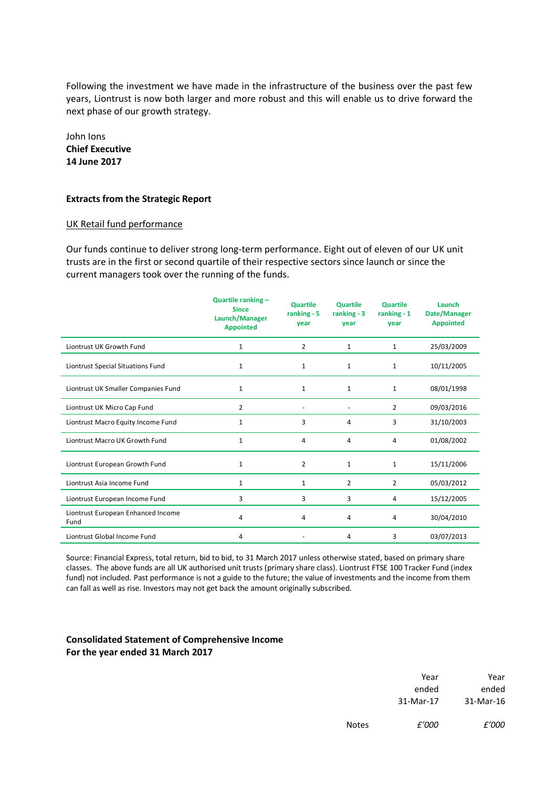Following the investment we have made in the infrastructure of the business over the past few years, Liontrust is now both larger and more robust and this will enable us to drive forward the next phase of our growth strategy.

John Ions **Chief Executive 14 June 2017**

### **Extracts from the Strategic Report**

### UK Retail fund performance

Our funds continue to deliver strong long-term performance. Eight out of eleven of our UK unit trusts are in the first or second quartile of their respective sectors since launch or since the current managers took over the running of the funds.

|                                            | Quartile ranking -<br><b>Since</b><br>Launch/Manager<br><b>Appointed</b> | <b>Quartile</b><br>ranking - 5<br>vear | <b>Quartile</b><br>ranking $-3$<br>vear | <b>Quartile</b><br>ranking $-1$<br>year | Launch<br>Date/Manager<br><b>Appointed</b> |
|--------------------------------------------|--------------------------------------------------------------------------|----------------------------------------|-----------------------------------------|-----------------------------------------|--------------------------------------------|
| Liontrust UK Growth Fund                   | 1                                                                        | $\overline{2}$                         | 1                                       | $\mathbf{1}$                            | 25/03/2009                                 |
| Liontrust Special Situations Fund          | 1                                                                        | 1                                      | $\mathbf{1}$                            | 1                                       | 10/11/2005                                 |
| Liontrust UK Smaller Companies Fund        | $\mathbf{1}$                                                             | 1                                      | 1                                       | $\mathbf{1}$                            | 08/01/1998                                 |
| Liontrust UK Micro Cap Fund                | $\overline{2}$                                                           |                                        |                                         | $\overline{2}$                          | 09/03/2016                                 |
| Liontrust Macro Equity Income Fund         | 1                                                                        | 3                                      | 4                                       | 3                                       | 31/10/2003                                 |
| Liontrust Macro UK Growth Fund             | 1                                                                        | 4                                      | 4                                       | 4                                       | 01/08/2002                                 |
| Liontrust European Growth Fund             | $\mathbf{1}$                                                             | $\overline{2}$                         | $\mathbf{1}$                            | $\mathbf{1}$                            | 15/11/2006                                 |
| Liontrust Asia Income Fund                 | $\mathbf{1}$                                                             | $\mathbf{1}$                           | $\overline{2}$                          | $\overline{2}$                          | 05/03/2012                                 |
| Liontrust European Income Fund             | 3                                                                        | 3                                      | 3                                       | 4                                       | 15/12/2005                                 |
| Liontrust European Enhanced Income<br>Fund | 4                                                                        | 4                                      | 4                                       | 4                                       | 30/04/2010                                 |
| Liontrust Global Income Fund               | 4                                                                        |                                        | 4                                       | 3                                       | 03/07/2013                                 |

Source: Financial Express, total return, bid to bid, to 31 March 2017 unless otherwise stated, based on primary share classes. The above funds are all UK authorised unit trusts (primary share class). Liontrust FTSE 100 Tracker Fund (index fund) not included. Past performance is not a guide to the future; the value of investments and the income from them can fall as well as rise. Investors may not get back the amount originally subscribed.

### **Consolidated Statement of Comprehensive Income For the year ended 31 March 2017**

| Year      |
|-----------|
| ended     |
| 31-Mar-16 |
|           |

Notes *£'000 £'000*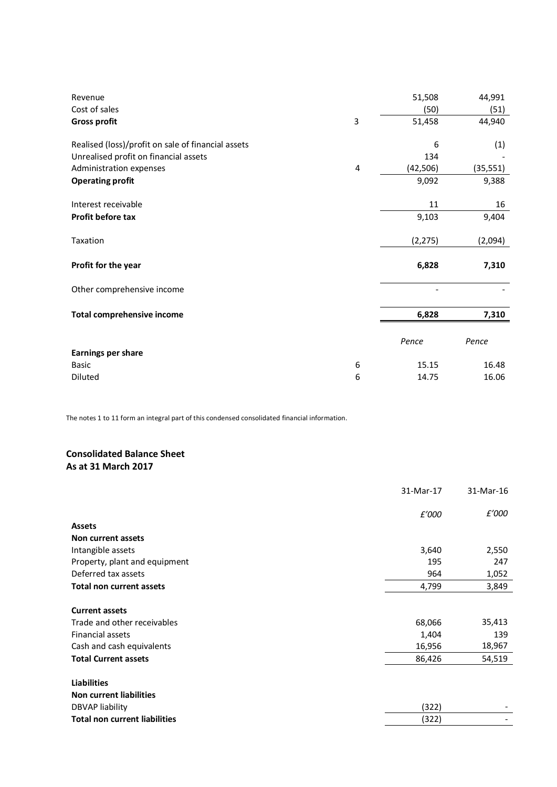| Revenue<br>Cost of sales                           |   | 51,508<br>(50) | 44,991<br>(51) |
|----------------------------------------------------|---|----------------|----------------|
| <b>Gross profit</b>                                | 3 | 51,458         | 44,940         |
| Realised (loss)/profit on sale of financial assets |   | 6              | (1)            |
| Unrealised profit on financial assets              |   | 134            |                |
| Administration expenses                            | 4 | (42, 506)      | (35, 551)      |
| <b>Operating profit</b>                            |   | 9,092          | 9,388          |
| Interest receivable                                |   | 11             | 16             |
| Profit before tax                                  |   | 9,103          | 9,404          |
| Taxation                                           |   | (2, 275)       | (2,094)        |
| Profit for the year                                |   | 6,828          | 7,310          |
| Other comprehensive income                         |   |                |                |
| <b>Total comprehensive income</b>                  |   | 6,828          | 7,310          |
|                                                    |   |                |                |
|                                                    |   | Pence          | Pence          |
| <b>Earnings per share</b>                          |   |                |                |
| <b>Basic</b>                                       | 6 | 15.15          | 16.48          |
| Diluted                                            | 6 | 14.75          | 16.06          |

The notes 1 to 11 form an integral part of this condensed consolidated financial information.

# **Consolidated Balance Sheet As at 31 March 2017**

|                                                      | 31-Mar-17 | 31-Mar-16 |
|------------------------------------------------------|-----------|-----------|
|                                                      | £'000     | £'000     |
| <b>Assets</b>                                        |           |           |
| Non current assets                                   |           |           |
| Intangible assets                                    | 3,640     | 2,550     |
| Property, plant and equipment                        | 195       | 247       |
| Deferred tax assets                                  | 964       | 1,052     |
| <b>Total non current assets</b>                      | 4,799     | 3,849     |
| <b>Current assets</b>                                |           |           |
| Trade and other receivables                          | 68,066    | 35,413    |
| Financial assets                                     | 1,404     | 139       |
| Cash and cash equivalents                            | 16,956    | 18,967    |
| <b>Total Current assets</b>                          | 86,426    | 54,519    |
| <b>Liabilities</b><br><b>Non current liabilities</b> |           |           |
| DBVAP liability                                      | (322)     |           |
| <b>Total non current liabilities</b>                 | (322)     |           |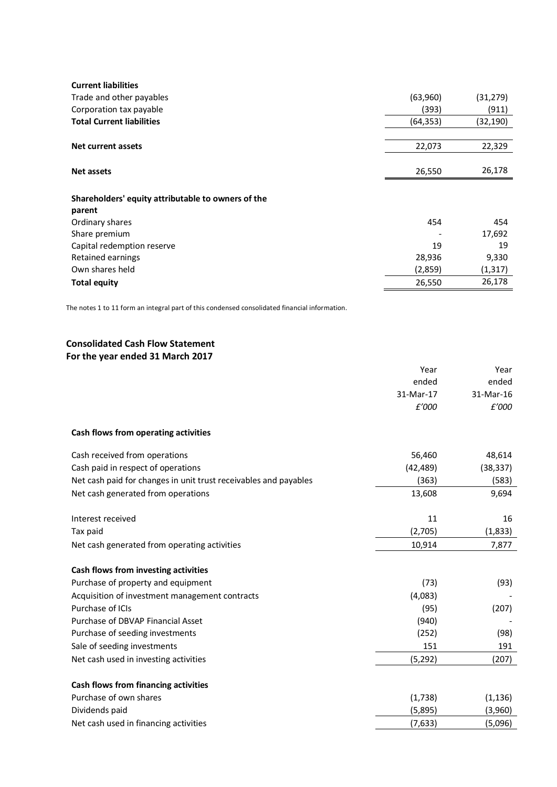| <b>Current liabilities</b>                         |           |           |
|----------------------------------------------------|-----------|-----------|
| Trade and other payables                           | (63,960)  | (31, 279) |
| Corporation tax payable                            | (393)     | (911)     |
| <b>Total Current liabilities</b>                   | (64, 353) | (32, 190) |
|                                                    |           |           |
| Net current assets                                 | 22,073    | 22,329    |
|                                                    |           |           |
| <b>Net assets</b>                                  | 26,550    | 26,178    |
|                                                    |           |           |
| Shareholders' equity attributable to owners of the |           |           |
| parent                                             |           |           |
| Ordinary shares                                    | 454       | 454       |
| Share premium                                      |           | 17,692    |
| Capital redemption reserve                         | 19        | 19        |
| Retained earnings                                  | 28,936    | 9,330     |
| Own shares held                                    | (2,859)   | (1,317)   |
| Total equity                                       | 26,550    | 26,178    |
|                                                    |           |           |

The notes 1 to 11 form an integral part of this condensed consolidated financial information.

# **Consolidated Cash Flow Statement For the year ended 31 March 2017**

|                                                                  | Year      | Year      |
|------------------------------------------------------------------|-----------|-----------|
|                                                                  | ended     | ended     |
|                                                                  | 31-Mar-17 | 31-Mar-16 |
|                                                                  | £'000     | £'000     |
| Cash flows from operating activities                             |           |           |
| Cash received from operations                                    | 56,460    | 48,614    |
| Cash paid in respect of operations                               | (42, 489) | (38, 337) |
| Net cash paid for changes in unit trust receivables and payables | (363)     | (583)     |
| Net cash generated from operations                               | 13,608    | 9,694     |
| Interest received                                                | 11        | 16        |
| Tax paid                                                         | (2,705)   | (1,833)   |
| Net cash generated from operating activities                     | 10,914    | 7,877     |
| Cash flows from investing activities                             |           |           |
| Purchase of property and equipment                               | (73)      | (93)      |
| Acquisition of investment management contracts                   | (4,083)   |           |
| Purchase of ICIs                                                 | (95)      | (207)     |
| Purchase of DBVAP Financial Asset                                | (940)     |           |
| Purchase of seeding investments                                  | (252)     | (98)      |
| Sale of seeding investments                                      | 151       | 191       |
| Net cash used in investing activities                            | (5, 292)  | (207)     |
| Cash flows from financing activities                             |           |           |
| Purchase of own shares                                           | (1,738)   | (1, 136)  |
| Dividends paid                                                   | (5,895)   | (3,960)   |
| Net cash used in financing activities                            | (7,633)   | (5,096)   |
|                                                                  |           |           |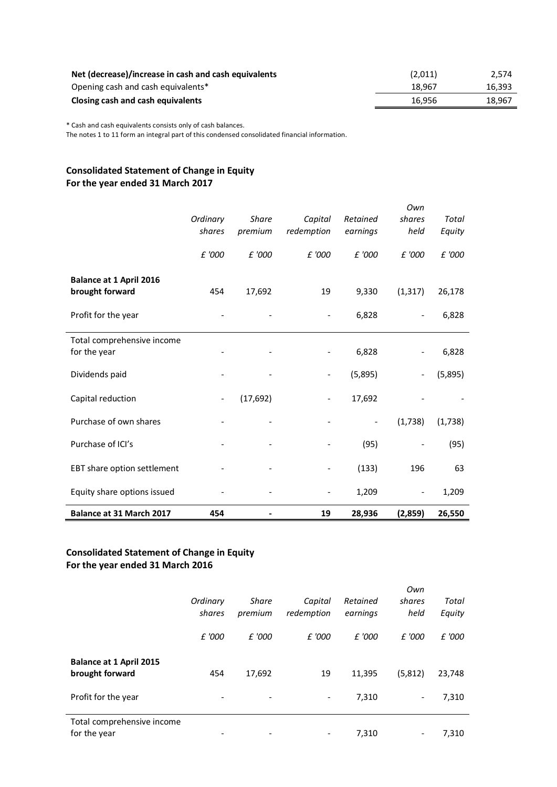| Net (decrease)/increase in cash and cash equivalents | (2,011) | 2.574  |
|------------------------------------------------------|---------|--------|
| Opening cash and cash equivalents*                   | 18.967  | 16,393 |
| Closing cash and cash equivalents                    | 16.956  | 18.967 |

\* Cash and cash equivalents consists only of cash balances.

The notes 1 to 11 form an integral part of this condensed consolidated financial information.

# **Consolidated Statement of Change in Equity For the year ended 31 March 2017**

|                                |          |              |                          |                          | Own                      |         |
|--------------------------------|----------|--------------|--------------------------|--------------------------|--------------------------|---------|
|                                | Ordinary | <b>Share</b> | Capital                  | Retained                 | shares                   | Total   |
|                                | shares   | premium      | redemption               | earnings                 | held                     | Equity  |
|                                |          |              |                          |                          |                          |         |
|                                | £ '000   | £ '000       | £ '000                   | £ '000                   | £ '000                   | £ '000  |
|                                |          |              |                          |                          |                          |         |
| <b>Balance at 1 April 2016</b> |          |              |                          |                          |                          |         |
| brought forward                | 454      | 17,692       | 19                       | 9,330                    | (1, 317)                 | 26,178  |
|                                |          |              |                          |                          |                          |         |
| Profit for the year            |          |              | $\overline{\phantom{0}}$ | 6,828                    | $\overline{\phantom{a}}$ | 6,828   |
| Total comprehensive income     |          |              |                          |                          |                          |         |
| for the year                   |          |              |                          | 6,828                    |                          | 6,828   |
|                                |          |              |                          |                          |                          |         |
| Dividends paid                 |          |              |                          | (5,895)                  | -                        | (5,895) |
|                                |          |              |                          |                          |                          |         |
| Capital reduction              |          | (17,692)     |                          | 17,692                   |                          |         |
|                                |          |              |                          |                          |                          |         |
| Purchase of own shares         |          |              |                          | $\overline{\phantom{a}}$ | (1,738)                  | (1,738) |
|                                |          |              |                          |                          |                          |         |
| Purchase of ICI's              |          |              |                          | (95)                     |                          | (95)    |
|                                |          |              |                          |                          |                          |         |
| EBT share option settlement    |          |              |                          | (133)                    | 196                      | 63      |
|                                |          |              |                          |                          |                          |         |
| Equity share options issued    |          |              |                          | 1,209                    | $\overline{\phantom{a}}$ | 1,209   |
| Balance at 31 March 2017       | 454      |              | 19                       | 28,936                   | (2,859)                  | 26,550  |

# **Consolidated Statement of Change in Equity For the year ended 31 March 2016**

|                                                   | Ordinary<br>shares | <b>Share</b><br>premium | Capital<br>redemption    | Retained<br>earnings | Own<br>shares<br>held | Total<br>Equity |
|---------------------------------------------------|--------------------|-------------------------|--------------------------|----------------------|-----------------------|-----------------|
|                                                   | £ '000             | £ '000                  | £ '000                   | £ '000               | £ '000                | £ '000          |
| <b>Balance at 1 April 2015</b><br>brought forward | 454                | 17,692                  | 19                       | 11,395               | (5,812)               | 23,748          |
| Profit for the year                               |                    |                         | $\overline{\phantom{a}}$ | 7,310                |                       | 7,310           |
| Total comprehensive income<br>for the year        |                    |                         |                          | 7,310                |                       | 7,310           |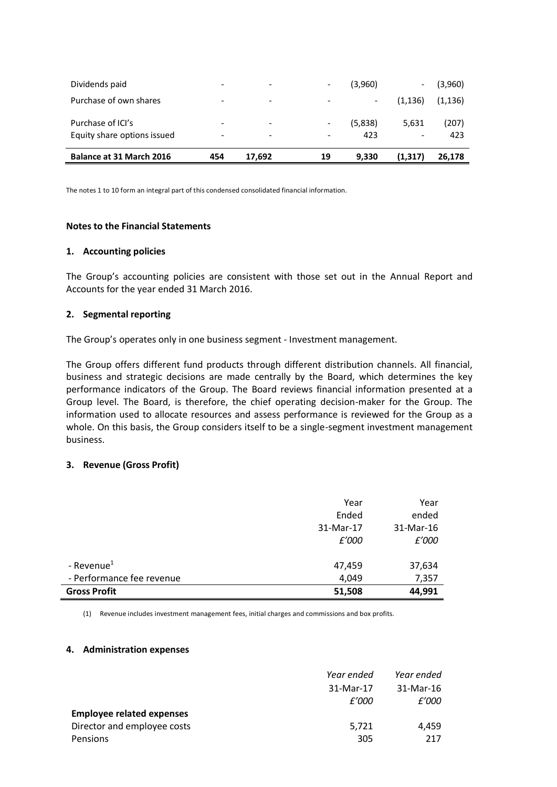| Balance at 31 March 2016    | 454                      | 17,692                   | 19                       | 9,330                    | (1,317)                  | 26,178   |
|-----------------------------|--------------------------|--------------------------|--------------------------|--------------------------|--------------------------|----------|
| Equity share options issued | -                        |                          | $\overline{\phantom{a}}$ | 423                      | ۰                        | 423      |
| Purchase of ICI's           | -                        |                          | $\overline{\phantom{a}}$ | (5,838)                  | 5,631                    | (207)    |
| Purchase of own shares      |                          | $\overline{\phantom{0}}$ |                          | $\overline{\phantom{a}}$ | (1, 136)                 | (1, 136) |
| Dividends paid              | $\overline{\phantom{0}}$ | $\overline{\phantom{0}}$ | $\overline{\phantom{a}}$ | (3,960)                  | $\overline{\phantom{a}}$ | (3,960)  |

The notes 1 to 10 form an integral part of this condensed consolidated financial information.

### **Notes to the Financial Statements**

### **1. Accounting policies**

The Group's accounting policies are consistent with those set out in the Annual Report and Accounts for the year ended 31 March 2016.

### **2. Segmental reporting**

The Group's operates only in one business segment - Investment management.

The Group offers different fund products through different distribution channels. All financial, business and strategic decisions are made centrally by the Board, which determines the key performance indicators of the Group. The Board reviews financial information presented at a Group level. The Board, is therefore, the chief operating decision-maker for the Group. The information used to allocate resources and assess performance is reviewed for the Group as a whole. On this basis, the Group considers itself to be a single-segment investment management business.

# **3. Revenue (Gross Profit)**

| <b>Gross Profit</b>       | 51,508    | 44,991    |
|---------------------------|-----------|-----------|
| - Performance fee revenue | 4,049     | 7,357     |
| - Revenue $1$             | 47,459    | 37,634    |
|                           | £'000     | £'000     |
|                           | 31-Mar-17 | 31-Mar-16 |
|                           | Ended     | ended     |
|                           | Year      | Year      |

(1) Revenue includes investment management fees, initial charges and commissions and box profits.

### **4. Administration expenses**

|                                  | Year ended | Year ended   |
|----------------------------------|------------|--------------|
|                                  | 31-Mar-17  | $31-Mar-16$  |
|                                  | £'000      | <i>f'000</i> |
| <b>Employee related expenses</b> |            |              |
| Director and employee costs      | 5,721      | 4.459        |
| Pensions                         | 305        | 217          |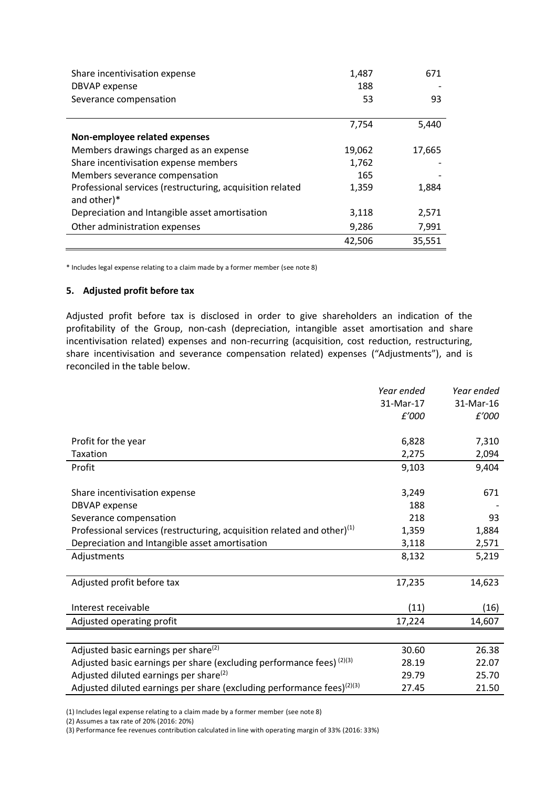| Share incentivisation expense<br><b>DBVAP</b> expense                    | 1,487<br>188 | 671    |
|--------------------------------------------------------------------------|--------------|--------|
| Severance compensation                                                   | 53           | 93     |
|                                                                          | 7,754        | 5,440  |
| Non-employee related expenses                                            |              |        |
| Members drawings charged as an expense                                   | 19,062       | 17,665 |
| Share incentivisation expense members                                    | 1,762        |        |
| Members severance compensation                                           | 165          |        |
| Professional services (restructuring, acquisition related<br>and other)* | 1,359        | 1,884  |
| Depreciation and Intangible asset amortisation                           | 3,118        | 2,571  |
| Other administration expenses                                            | 9,286        | 7,991  |
|                                                                          | 42,506       | 35,551 |

\* Includes legal expense relating to a claim made by a former member (see note 8)

### **5. Adjusted profit before tax**

Adjusted profit before tax is disclosed in order to give shareholders an indication of the profitability of the Group, non-cash (depreciation, intangible asset amortisation and share incentivisation related) expenses and non-recurring (acquisition, cost reduction, restructuring, share incentivisation and severance compensation related) expenses ("Adjustments"), and is reconciled in the table below.

|                                                                                    | Year ended | Year ended |
|------------------------------------------------------------------------------------|------------|------------|
|                                                                                    | 31-Mar-17  | 31-Mar-16  |
|                                                                                    | £'000      | £'000      |
|                                                                                    |            |            |
| Profit for the year                                                                | 6,828      | 7,310      |
| <b>Taxation</b>                                                                    | 2,275      | 2,094      |
| Profit                                                                             | 9,103      | 9,404      |
|                                                                                    |            |            |
| Share incentivisation expense                                                      | 3,249      | 671        |
| <b>DBVAP</b> expense                                                               | 188        |            |
| Severance compensation                                                             | 218        | 93         |
| Professional services (restructuring, acquisition related and other) $(1)$         | 1,359      | 1,884      |
| Depreciation and Intangible asset amortisation                                     | 3,118      | 2,571      |
| Adjustments                                                                        | 8,132      | 5,219      |
|                                                                                    |            |            |
| Adjusted profit before tax                                                         | 17,235     | 14,623     |
|                                                                                    |            |            |
| Interest receivable                                                                | (11)       | (16)       |
| Adjusted operating profit                                                          | 17,224     | 14,607     |
|                                                                                    |            |            |
| Adjusted basic earnings per share <sup>(2)</sup>                                   | 30.60      | 26.38      |
| Adjusted basic earnings per share (excluding performance fees) (2)(3)              | 28.19      | 22.07      |
| Adjusted diluted earnings per share <sup>(2)</sup>                                 | 29.79      | 25.70      |
| Adjusted diluted earnings per share (excluding performance fees) <sup>(2)(3)</sup> | 27.45      | 21.50      |

(1) Includes legal expense relating to a claim made by a former member (see note 8)

(2) Assumes a tax rate of 20% (2016: 20%)

(3) Performance fee revenues contribution calculated in line with operating margin of 33% (2016: 33%)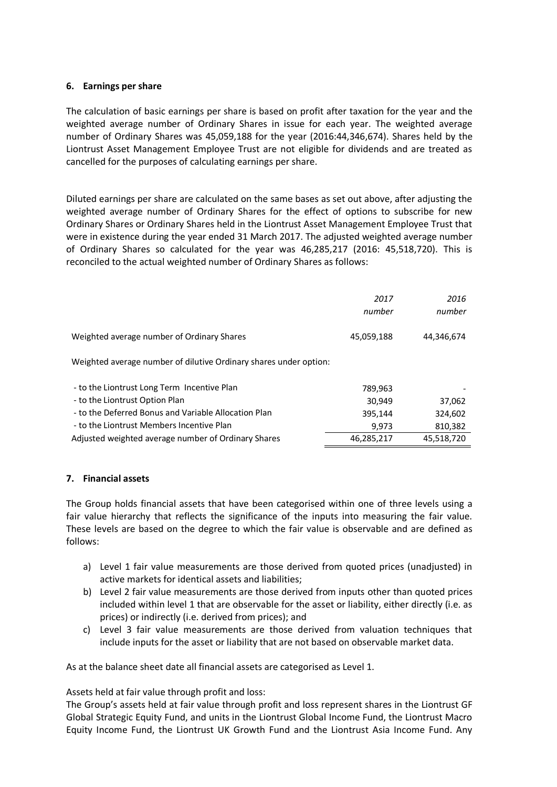# **6. Earnings per share**

The calculation of basic earnings per share is based on profit after taxation for the year and the weighted average number of Ordinary Shares in issue for each year. The weighted average number of Ordinary Shares was 45,059,188 for the year (2016:44,346,674). Shares held by the Liontrust Asset Management Employee Trust are not eligible for dividends and are treated as cancelled for the purposes of calculating earnings per share.

Diluted earnings per share are calculated on the same bases as set out above, after adjusting the weighted average number of Ordinary Shares for the effect of options to subscribe for new Ordinary Shares or Ordinary Shares held in the Liontrust Asset Management Employee Trust that were in existence during the year ended 31 March 2017. The adjusted weighted average number of Ordinary Shares so calculated for the year was 46,285,217 (2016: 45,518,720). This is reconciled to the actual weighted number of Ordinary Shares as follows:

|                                                                   | 2017<br>number | 2016<br>number |
|-------------------------------------------------------------------|----------------|----------------|
| Weighted average number of Ordinary Shares                        | 45,059,188     | 44,346,674     |
| Weighted average number of dilutive Ordinary shares under option: |                |                |
| - to the Liontrust Long Term Incentive Plan                       | 789,963        |                |
| - to the Liontrust Option Plan                                    | 30,949         | 37,062         |
| - to the Deferred Bonus and Variable Allocation Plan              | 395,144        | 324,602        |
| - to the Liontrust Members Incentive Plan                         | 9,973          | 810,382        |
| Adjusted weighted average number of Ordinary Shares               | 46,285,217     | 45,518,720     |

### **7. Financial assets**

The Group holds financial assets that have been categorised within one of three levels using a fair value hierarchy that reflects the significance of the inputs into measuring the fair value. These levels are based on the degree to which the fair value is observable and are defined as follows:

- a) Level 1 fair value measurements are those derived from quoted prices (unadjusted) in active markets for identical assets and liabilities;
- b) Level 2 fair value measurements are those derived from inputs other than quoted prices included within level 1 that are observable for the asset or liability, either directly (i.e. as prices) or indirectly (i.e. derived from prices); and
- c) Level 3 fair value measurements are those derived from valuation techniques that include inputs for the asset or liability that are not based on observable market data.

As at the balance sheet date all financial assets are categorised as Level 1.

Assets held at fair value through profit and loss:

The Group's assets held at fair value through profit and loss represent shares in the Liontrust GF Global Strategic Equity Fund, and units in the Liontrust Global Income Fund, the Liontrust Macro Equity Income Fund, the Liontrust UK Growth Fund and the Liontrust Asia Income Fund. Any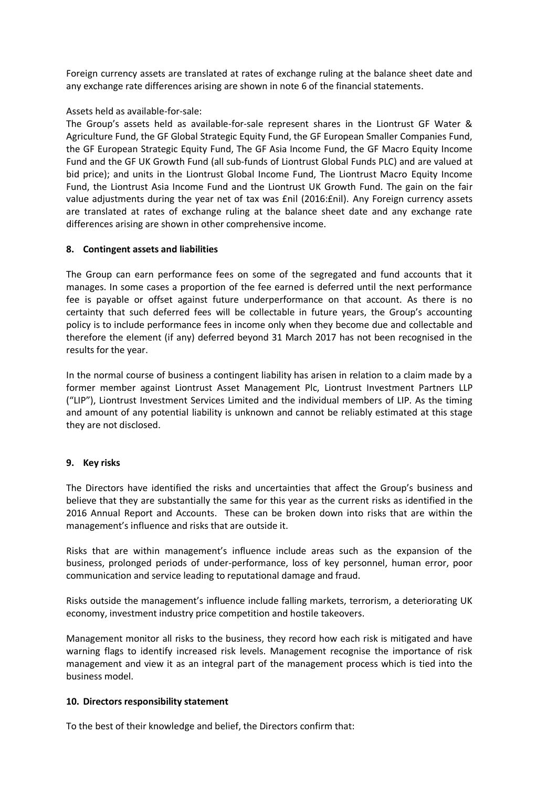Foreign currency assets are translated at rates of exchange ruling at the balance sheet date and any exchange rate differences arising are shown in note 6 of the financial statements.

# Assets held as available-for-sale:

The Group's assets held as available-for-sale represent shares in the Liontrust GF Water & Agriculture Fund, the GF Global Strategic Equity Fund, the GF European Smaller Companies Fund, the GF European Strategic Equity Fund, The GF Asia Income Fund, the GF Macro Equity Income Fund and the GF UK Growth Fund (all sub-funds of Liontrust Global Funds PLC) and are valued at bid price); and units in the Liontrust Global Income Fund, The Liontrust Macro Equity Income Fund, the Liontrust Asia Income Fund and the Liontrust UK Growth Fund. The gain on the fair value adjustments during the year net of tax was £nil (2016:£nil). Any Foreign currency assets are translated at rates of exchange ruling at the balance sheet date and any exchange rate differences arising are shown in other comprehensive income.

# **8. Contingent assets and liabilities**

The Group can earn performance fees on some of the segregated and fund accounts that it manages. In some cases a proportion of the fee earned is deferred until the next performance fee is payable or offset against future underperformance on that account. As there is no certainty that such deferred fees will be collectable in future years, the Group's accounting policy is to include performance fees in income only when they become due and collectable and therefore the element (if any) deferred beyond 31 March 2017 has not been recognised in the results for the year.

In the normal course of business a contingent liability has arisen in relation to a claim made by a former member against Liontrust Asset Management Plc, Liontrust Investment Partners LLP ("LIP"), Liontrust Investment Services Limited and the individual members of LIP. As the timing and amount of any potential liability is unknown and cannot be reliably estimated at this stage they are not disclosed.

# **9. Key risks**

The Directors have identified the risks and uncertainties that affect the Group's business and believe that they are substantially the same for this year as the current risks as identified in the 2016 Annual Report and Accounts. These can be broken down into risks that are within the management's influence and risks that are outside it.

Risks that are within management's influence include areas such as the expansion of the business, prolonged periods of under-performance, loss of key personnel, human error, poor communication and service leading to reputational damage and fraud.

Risks outside the management's influence include falling markets, terrorism, a deteriorating UK economy, investment industry price competition and hostile takeovers.

Management monitor all risks to the business, they record how each risk is mitigated and have warning flags to identify increased risk levels. Management recognise the importance of risk management and view it as an integral part of the management process which is tied into the business model.

# **10. Directors responsibility statement**

To the best of their knowledge and belief, the Directors confirm that: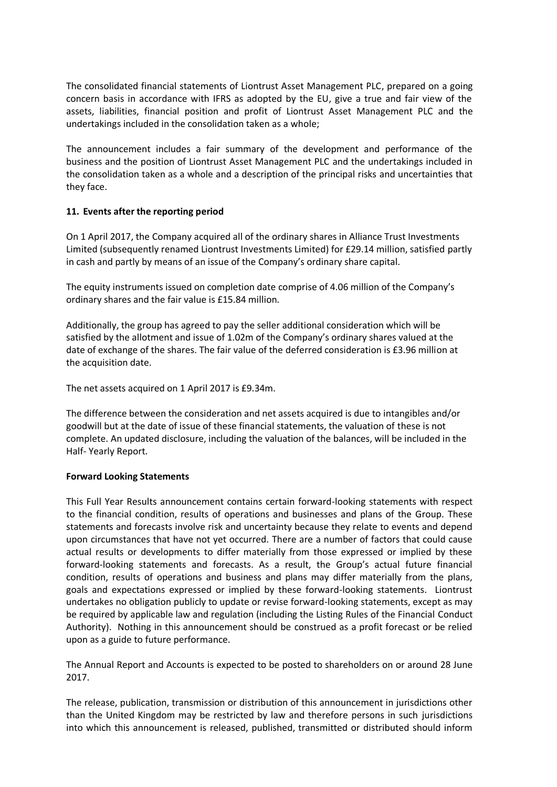The consolidated financial statements of Liontrust Asset Management PLC, prepared on a going concern basis in accordance with IFRS as adopted by the EU, give a true and fair view of the assets, liabilities, financial position and profit of Liontrust Asset Management PLC and the undertakings included in the consolidation taken as a whole;

The announcement includes a fair summary of the development and performance of the business and the position of Liontrust Asset Management PLC and the undertakings included in the consolidation taken as a whole and a description of the principal risks and uncertainties that they face.

# **11. Events after the reporting period**

On 1 April 2017, the Company acquired all of the ordinary shares in Alliance Trust Investments Limited (subsequently renamed Liontrust Investments Limited) for £29.14 million, satisfied partly in cash and partly by means of an issue of the Company's ordinary share capital.

The equity instruments issued on completion date comprise of 4.06 million of the Company's ordinary shares and the fair value is £15.84 million.

Additionally, the group has agreed to pay the seller additional consideration which will be satisfied by the allotment and issue of 1.02m of the Company's ordinary shares valued at the date of exchange of the shares. The fair value of the deferred consideration is £3.96 million at the acquisition date.

The net assets acquired on 1 April 2017 is £9.34m.

The difference between the consideration and net assets acquired is due to intangibles and/or goodwill but at the date of issue of these financial statements, the valuation of these is not complete. An updated disclosure, including the valuation of the balances, will be included in the Half- Yearly Report.

# **Forward Looking Statements**

This Full Year Results announcement contains certain forward-looking statements with respect to the financial condition, results of operations and businesses and plans of the Group. These statements and forecasts involve risk and uncertainty because they relate to events and depend upon circumstances that have not yet occurred. There are a number of factors that could cause actual results or developments to differ materially from those expressed or implied by these forward-looking statements and forecasts. As a result, the Group's actual future financial condition, results of operations and business and plans may differ materially from the plans, goals and expectations expressed or implied by these forward-looking statements. Liontrust undertakes no obligation publicly to update or revise forward-looking statements, except as may be required by applicable law and regulation (including the Listing Rules of the Financial Conduct Authority). Nothing in this announcement should be construed as a profit forecast or be relied upon as a guide to future performance.

The Annual Report and Accounts is expected to be posted to shareholders on or around 28 June 2017.

The release, publication, transmission or distribution of this announcement in jurisdictions other than the United Kingdom may be restricted by law and therefore persons in such jurisdictions into which this announcement is released, published, transmitted or distributed should inform